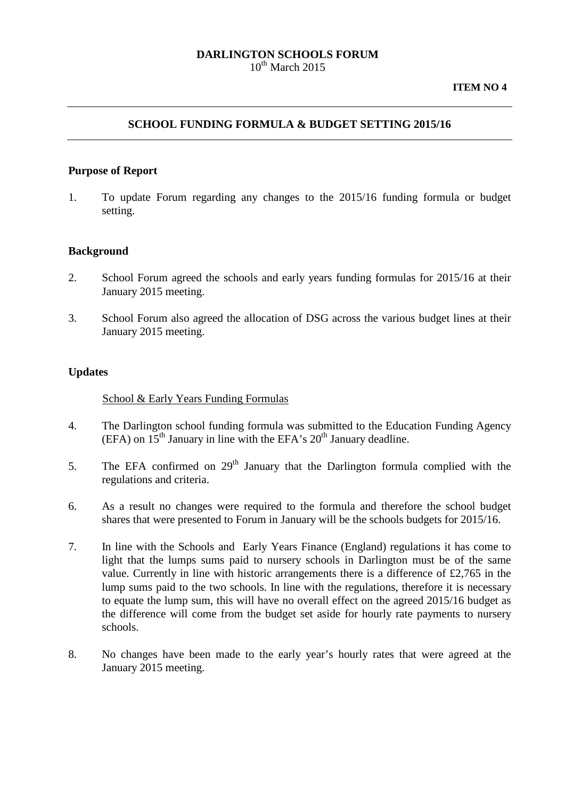#### **DARLINGTON SCHOOLS FORUM**  $10^{th}$  March 2015

### **SCHOOL FUNDING FORMULA & BUDGET SETTING 2015/16**

#### **Purpose of Report**

1. To update Forum regarding any changes to the 2015/16 funding formula or budget setting.

### **Background**

- 2. School Forum agreed the schools and early years funding formulas for 2015/16 at their January 2015 meeting.
- 3. School Forum also agreed the allocation of DSG across the various budget lines at their January 2015 meeting.

#### **Updates**

#### School & Early Years Funding Formulas

- 4. The Darlington school funding formula was submitted to the Education Funding Agency (EFA) on  $15<sup>th</sup>$  January in line with the EFA's  $20<sup>th</sup>$  January deadline.
- 5. The EFA confirmed on  $29<sup>th</sup>$  January that the Darlington formula complied with the regulations and criteria.
- 6. As a result no changes were required to the formula and therefore the school budget shares that were presented to Forum in January will be the schools budgets for 2015/16.
- 7. In line with the Schools and Early Years Finance (England) regulations it has come to light that the lumps sums paid to nursery schools in Darlington must be of the same value. Currently in line with historic arrangements there is a difference of £2,765 in the lump sums paid to the two schools. In line with the regulations, therefore it is necessary to equate the lump sum, this will have no overall effect on the agreed 2015/16 budget as the difference will come from the budget set aside for hourly rate payments to nursery schools.
- 8. No changes have been made to the early year's hourly rates that were agreed at the January 2015 meeting.